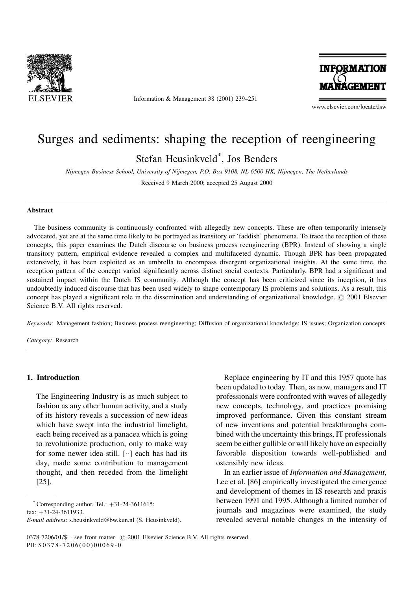

Information & Management 38 (2001) 239-251



www.elsevier.com/locate/dsw

## Surges and sediments: shaping the reception of reengineering

Stefan Heusinkveld\* , Jos Benders

Nijmegen Business School, University of Nijmegen, P.O. Box 9108, NL-6500 HK, Nijmegen, The Netherlands

Received 9 March 2000; accepted 25 August 2000

#### Abstract

The business community is continuously confronted with allegedly new concepts. These are often temporarily intensely advocated, yet are at the same time likely to be portrayed as transitory or 'faddish' phenomena. To trace the reception of these concepts, this paper examines the Dutch discourse on business process reengineering (BPR). Instead of showing a single transitory pattern, empirical evidence revealed a complex and multifaceted dynamic. Though BPR has been propagated extensively, it has been exploited as an umbrella to encompass divergent organizational insights. At the same time, the reception pattern of the concept varied significantly across distinct social contexts. Particularly, BPR had a significant and sustained impact within the Dutch IS community. Although the concept has been criticized since its inception, it has undoubtedly induced discourse that has been used widely to shape contemporary IS problems and solutions. As a result, this concept has played a significant role in the dissemination and understanding of organizational knowledge.  $\oslash$  2001 Elsevier Science B.V. All rights reserved.

Keywords: Management fashion; Business process reengineering; Diffusion of organizational knowledge; IS issues; Organization concepts

Category: Research

#### 1. Introduction

The Engineering Industry is as much subject to fashion as any other human activity, and a study of its history reveals a succession of new ideas which have swept into the industrial limelight, each being received as a panacea which is going to revolutionize production, only to make way for some newer idea still.  $[\cdot \cdot]$  each has had its day, made some contribution to management thought, and then receded from the limelight [25].

Corresponding author. Tel.:  $+31-24-3611615$ ; fax:  $+31-24-3611933$ .

Replace engineering by IT and this 1957 quote has been updated to today. Then, as now, managers and IT professionals were confronted with waves of allegedly new concepts, technology, and practices promising improved performance. Given this constant stream of new inventions and potential breakthroughs combined with the uncertainty this brings, IT professionals seem be either gullible or will likely have an especially favorable disposition towards well-published and ostensibly new ideas.

In an earlier issue of Information and Management, Lee et al. [86] empirically investigated the emergence and development of themes in IS research and praxis between 1991 and 1995. Although a limited number of journals and magazines were examined, the study revealed several notable changes in the intensity of

E-mail address: s.heusinkveld@bw.kun.nl (S. Heusinkveld).

 $0378-7206/01/\$$  - see front matter  $\degree$  2001 Elsevier Science B.V. All rights reserved. PII: S 0378-7206(00)00069-0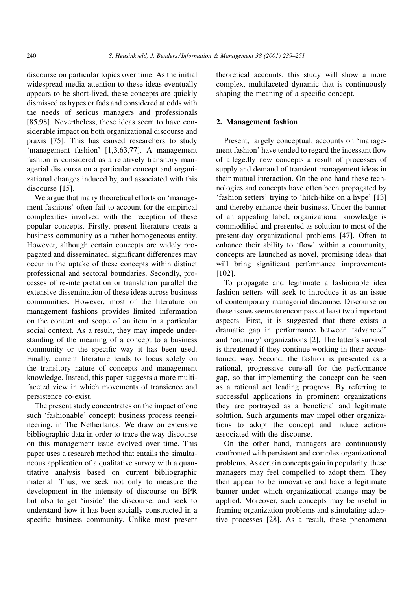discourse on particular topics over time. As the initial widespread media attention to these ideas eventually appears to be short-lived, these concepts are quickly dismissed as hypes or fads and considered at odds with the needs of serious managers and professionals [85,98]. Nevertheless, these ideas seem to have considerable impact on both organizational discourse and praxis [75]. This has caused researchers to study `management fashion' [1,3,63,77]. A management fashion is considered as a relatively transitory managerial discourse on a particular concept and organizational changes induced by, and associated with this discourse [15].

We argue that many theoretical efforts on 'management fashions' often fail to account for the empirical complexities involved with the reception of these popular concepts. Firstly, present literature treats a business community as a rather homogeneous entity. However, although certain concepts are widely propagated and disseminated, significant differences may occur in the uptake of these concepts within distinct professional and sectoral boundaries. Secondly, processes of re-interpretation or translation parallel the extensive dissemination of these ideas across business communities. However, most of the literature on management fashions provides limited information on the content and scope of an item in a particular social context. As a result, they may impede understanding of the meaning of a concept to a business community or the specific way it has been used. Finally, current literature tends to focus solely on the transitory nature of concepts and management knowledge. Instead, this paper suggests a more multifaceted view in which movements of transience and persistence co-exist.

The present study concentrates on the impact of one such 'fashionable' concept: business process reengineering, in The Netherlands. We draw on extensive bibliographic data in order to trace the way discourse on this management issue evolved over time. This paper uses a research method that entails the simultaneous application of a qualitative survey with a quantitative analysis based on current bibliographic material. Thus, we seek not only to measure the development in the intensity of discourse on BPR but also to get `inside' the discourse, and seek to understand how it has been socially constructed in a specific business community. Unlike most present theoretical accounts, this study will show a more complex, multifaceted dynamic that is continuously shaping the meaning of a specific concept.

### 2. Management fashion

Present, largely conceptual, accounts on `management fashion' have tended to regard the incessant flow of allegedly new concepts a result of processes of supply and demand of transient management ideas in their mutual interaction. On the one hand these technologies and concepts have often been propagated by `fashion setters' trying to `hitch-hike on a hype' [13] and thereby enhance their business. Under the banner of an appealing label, organizational knowledge is commodified and presented as solution to most of the present-day organizational problems [47]. Often to enhance their ability to 'flow' within a community, concepts are launched as novel, promising ideas that will bring significant performance improvements [102].

To propagate and legitimate a fashionable idea fashion setters will seek to introduce it as an issue of contemporary managerial discourse. Discourse on these issues seems to encompass at least two important aspects. First, it is suggested that there exists a dramatic gap in performance between `advanced' and 'ordinary' organizations [2]. The latter's survival is threatened if they continue working in their accustomed way. Second, the fashion is presented as a rational, progressive cure-all for the performance gap, so that implementing the concept can be seen as a rational act leading progress. By referring to successful applications in prominent organizations they are portrayed as a beneficial and legitimate solution. Such arguments may impel other organizations to adopt the concept and induce actions associated with the discourse.

On the other hand, managers are continuously confronted with persistent and complex organizational problems. As certain concepts gain in popularity, these managers may feel compelled to adopt them. They then appear to be innovative and have a legitimate banner under which organizational change may be applied. Moreover, such concepts may be useful in framing organization problems and stimulating adaptive processes [28]. As a result, these phenomena